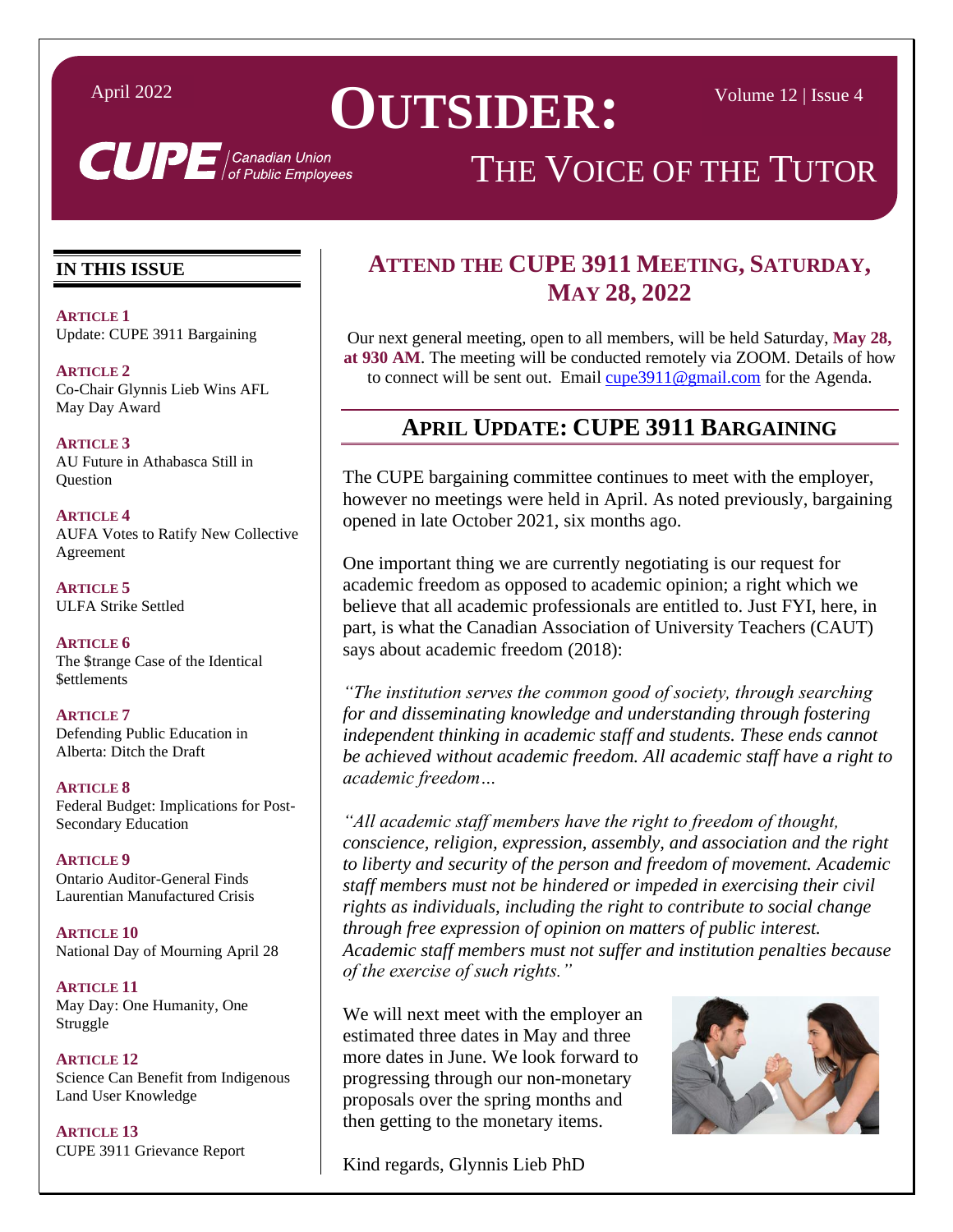# April 2022 **OUTSIDER** • Volume 12 | Issue 4

# THE VOICE OF THE TUTOR

#### **IN THIS ISSUE**

**ARTICLE 1** Update: CUPE 3911 Bargaining

**ARTICLE 2** [Co-Chair Glynnis Lieb Wins AFL](#page-1-0)  May Day Award

**ARTICLE 3** [AU Future in Athabasca Still in](#page-2-0)  **Ouestion** 

**ARTICLE 4** AUFA [Votes to Ratify New Collective](#page-3-0)  Agreement

**ARTICLE 5** [ULFA Strike Settled](#page-4-0) 

**ARTICLE 6** [The \\$trange Case of the Identical](#page-5-0)  **\$ettlements** 

**ARTICLE 7** [Defending Public Education in](#page-6-0)  Alberta: Ditch the Draft

**ARTICLE 8** [Federal Budget: Implications for Post-](#page-7-0)Secondary Education

**ARTICLE 9** Ontario Auditor-General Finds [Laurentian Manufactured Crisis](#page-8-0)

**ARTICLE 10** [National Day of Mourning April 28](#page-9-0)

**ARTICLE 11** [May Day: One Humanity, One](#page-10-0)  Struggle

**ARTICLE 12** [Science Can Benefit from Indigenous](#page-11-0)  Land User Knowledge

**ARTICLE 13** [CUPE 3911 Grievance](#page-13-0) Report

#### **ATTEND THE CUPE 3911 MEETING, SATURDAY, MAY 28, 2022**

Our next general meeting, open to all members, will be held Saturday, **May 28, at 930 AM**. The meeting will be conducted remotely via ZOOM. Details of how to connect will be sent out. Email cupe 3911@gmail.com for the Agenda.

#### **APRIL UPDATE: CUPE 3911 BARGAINING**

The CUPE bargaining committee continues to meet with the employer, however no meetings were held in April. As noted previously, bargaining opened in late October 2021, six months ago.

One important thing we are currently negotiating is our request for academic freedom as opposed to academic opinion; a right which we believe that all academic professionals are entitled to. Just FYI, here, in part, is what the Canadian Association of University Teachers (CAUT) says about academic freedom (2018):

*"The institution serves the common good of society, through searching for and disseminating knowledge and understanding through fostering independent thinking in academic staff and students. These ends cannot be achieved without academic freedom. All academic staff have a right to academic freedom…*

*"All academic staff members have the right to freedom of thought, conscience, religion, expression, assembly, and association and the right to liberty and security of the person and freedom of movement. Academic staff members must not be hindered or impeded in exercising their civil rights as individuals, including the right to contribute to social change through free expression of opinion on matters of public interest. Academic staff members must not suffer and institution penalties because of the exercise of such rights."*

We will next meet with the employer an estimated three dates in May and three more dates in June. We look forward to progressing through our non-monetary proposals over the spring months and then getting to the monetary items.



Kind regards, Glynnis Lieb PhD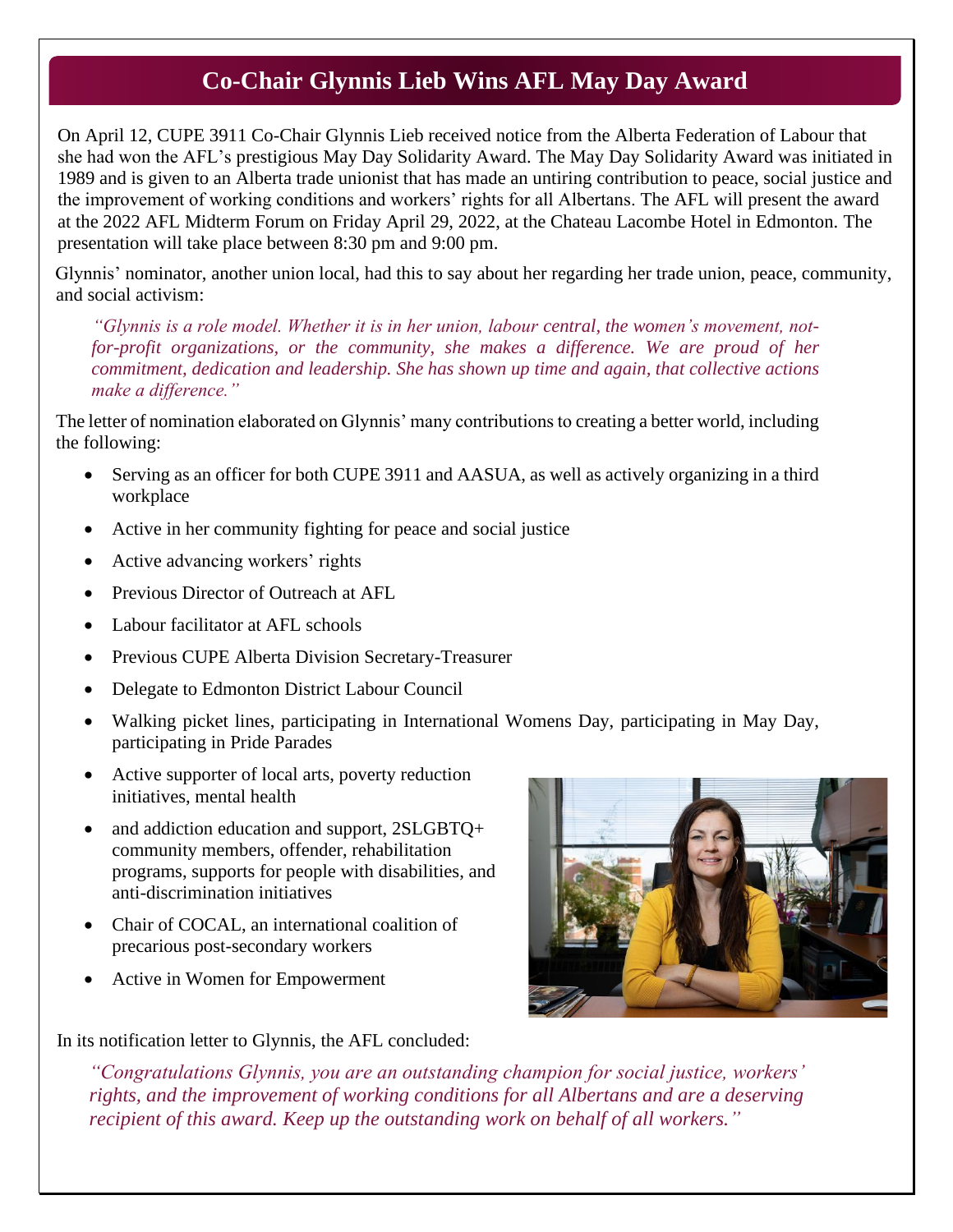### **Co-Chair Glynnis Lieb Wins AFL May Day Award**

<span id="page-1-0"></span>On April 12, CUPE 3911 Co-Chair Glynnis Lieb received notice from the Alberta Federation of Labour that she had won the AFL's prestigious May Day Solidarity Award. The May Day Solidarity Award was initiated in 1989 and is given to an Alberta trade unionist that has made an untiring contribution to peace, social justice and the improvement of working conditions and workers' rights for all Albertans. The AFL will present the award at the 2022 AFL Midterm Forum on Friday April 29, 2022, at the Chateau Lacombe Hotel in Edmonton. The presentation will take place between 8:30 pm and 9:00 pm.

Glynnis' nominator, another union local, had this to say about her regarding her trade union, peace, community, and social activism:

*"Glynnis is a role model. Whether it is in her union, labour central, the women's movement, notfor-profit organizations, or the community, she makes a difference. We are proud of her commitment, dedication and leadership. She has shown up time and again, that collective actions make a difference."*

The letter of nomination elaborated on Glynnis' many contributions to creating a better world, including the following:

- Serving as an officer for both CUPE 3911 and AASUA, as well as actively organizing in a third workplace
- Active in her community fighting for peace and social justice
- Active advancing workers' rights
- Previous Director of Outreach at AFL
- Labour facilitator at AFL schools
- Previous CUPE Alberta Division Secretary-Treasurer
- Delegate to Edmonton District Labour Council
- Walking picket lines, participating in International Womens Day, participating in May Day, participating in Pride Parades
- Active supporter of local arts, poverty reduction initiatives, mental health
- and addiction education and support, 2SLGBTQ+ community members, offender, rehabilitation programs, supports for people with disabilities, and anti-discrimination initiatives
- Chair of COCAL, an international coalition of precarious post-secondary workers
- Active in Women for Empowerment

In its notification letter to Glynnis, the AFL concluded:

*"Congratulations Glynnis, you are an outstanding champion for social justice, workers' rights, and the improvement of working conditions for all Albertans and are a deserving recipient of this award. Keep up the outstanding work on behalf of all workers."*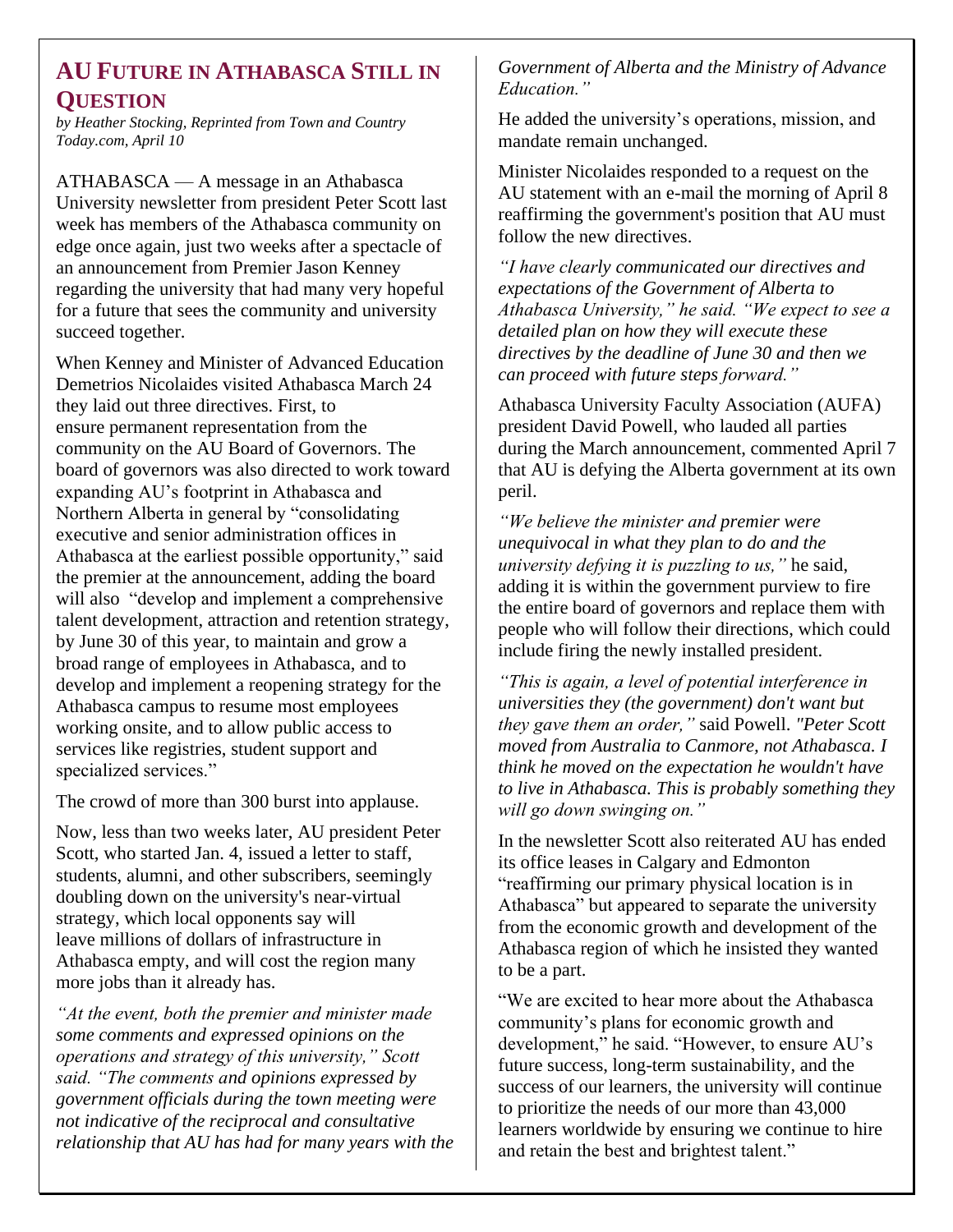#### <span id="page-2-0"></span>**AU FUTURE IN ATHABASCA STILL IN QUESTION**

*by Heather Stocking, Reprinted from Town and Country Today.com, April 10*

ATHABASCA — A message in an Athabasca University newsletter from president Peter Scott last week has members of the Athabasca community on edge once again, just two weeks after a spectacle of an announcement from Premier Jason Kenney regarding the university that had many very hopeful for a future that sees the community and university succeed together.

When Kenney and Minister of Advanced Education Demetrios Nicolaides visited Athabasca March 24 they laid out three directives. First, to ensure permanent representation from the community on the AU Board of Governors. The board of governors was also directed to work toward expanding AU's footprint in Athabasca and Northern Alberta in general by "consolidating executive and senior administration offices in Athabasca at the earliest possible opportunity," said the premier at the announcement, adding the board will also "develop and implement a comprehensive talent development, attraction and retention strategy, by June 30 of this year, to maintain and grow a broad range of employees in Athabasca, and to develop and implement a reopening strategy for the Athabasca campus to resume most employees working onsite, and to allow public access to services like registries, student support and specialized services."

The crowd of more than 300 burst into applause.

Now, less than two weeks later, AU president Peter Scott, who started Jan. 4, issued a letter to staff, students, alumni, and other subscribers, seemingly doubling down on the university's near-virtual strategy, which local opponents say will leave millions of dollars of infrastructure in Athabasca empty, and will cost the region many more jobs than it already has.

*"At the event, both the premier and minister made some comments and expressed opinions on the operations and strategy of this university," Scott said. "The comments and opinions expressed by government officials during the town meeting were not indicative of the reciprocal and consultative relationship that AU has had for many years with the* 

#### *Government of Alberta and the Ministry of Advance Education."*

He added the university's operations, mission, and mandate remain unchanged.

Minister Nicolaides responded to a request on the AU statement with an e-mail the morning of April 8 reaffirming the government's position that AU must follow the new directives.

*"I have clearly communicated our directives and expectations of the Government of Alberta to Athabasca University," he said. "We expect to see a detailed plan on how they will execute these directives by the deadline of June 30 and then we can proceed with future steps forward."*

Athabasca University Faculty Association (AUFA) president David Powell, who lauded all parties during the March announcement, commented April 7 that AU is defying the Alberta government at its own peril.

*"We believe the minister and premier were unequivocal in what they plan to do and the university defying it is puzzling to us,"* he said, adding it is within the government purview to fire the entire board of governors and replace them with people who will follow their directions, which could include firing the newly installed president.

*"This is again, a level of potential interference in universities they (the government) don't want but they gave them an order,"* said Powell. *"Peter Scott moved from Australia to Canmore, not Athabasca. I think he moved on the expectation he wouldn't have to live in Athabasca. This is probably something they will go down swinging on."*

In the newsletter Scott also reiterated AU has ended its office leases in Calgary and Edmonton "reaffirming our primary physical location is in Athabasca" but appeared to separate the university from the economic growth and development of the Athabasca region of which he insisted they wanted to be a part.

"We are excited to hear more about the Athabasca community's plans for economic growth and development," he said. "However, to ensure AU's future success, long-term sustainability, and the success of our learners, the university will continue to prioritize the needs of our more than 43,000 learners worldwide by ensuring we continue to hire and retain the best and brightest talent."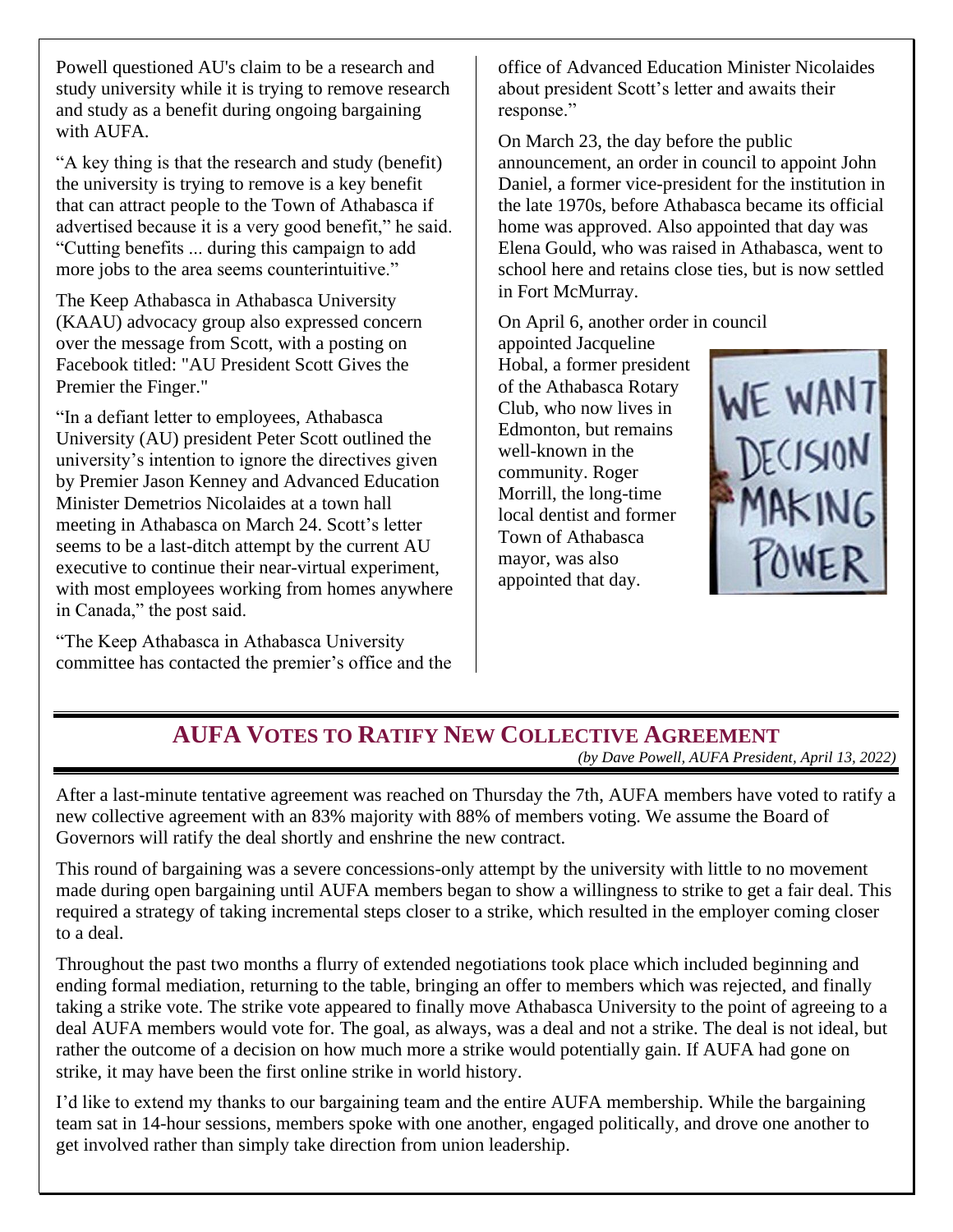<span id="page-3-0"></span>Powell questioned AU's claim to be a research and study university while it is trying to remove research and study as a benefit during ongoing bargaining with AUFA.

"A key thing is that the research and study (benefit) the university is trying to remove is a key benefit that can attract people to the Town of Athabasca if advertised because it is a very good benefit," he said. "Cutting benefits ... during this campaign to add more jobs to the area seems counterintuitive."

The Keep Athabasca in Athabasca University (KAAU) advocacy group also expressed concern over the message from Scott, with a posting on Facebook titled: "AU President Scott Gives the Premier the Finger."

"In a defiant letter to employees, Athabasca University (AU) president Peter Scott outlined the university's intention to ignore the directives given by Premier Jason Kenney and Advanced Education Minister Demetrios Nicolaides at a town hall meeting in Athabasca on March 24. Scott's letter seems to be a last-ditch attempt by the current AU executive to continue their near-virtual experiment, with most employees working from homes anywhere in Canada," the post said.

"The Keep Athabasca in Athabasca University committee has contacted the premier's office and the office of Advanced Education Minister Nicolaides about president Scott's letter and awaits their response."

On March 23, the day before the public announcement, an order in council to appoint John Daniel, a former vice-president for the institution in the late 1970s, before Athabasca became its official home was approved. Also appointed that day was Elena Gould, who was raised in Athabasca, went to school here and retains close ties, but is now settled in Fort McMurray.

On April 6, another order in council

appointed Jacqueline Hobal, a former president of the Athabasca Rotary Club, who now lives in Edmonton, but remains well-known in the community. Roger Morrill, the long-time local dentist and former Town of Athabasca mayor, was also appointed that day.



#### **AUFA VOTES TO RATIFY NEW COLLECTIVE AGREEMENT** *(by Dave Powell, AUFA President, April 13, 2022)*

After a last-minute tentative agreement was reached on Thursday the 7th, AUFA members have voted to ratify a new collective agreement with an 83% majority with 88% of members voting. We assume the Board of Governors will ratify the deal shortly and enshrine the new contract.

This round of bargaining was a severe concessions-only attempt by the university with little to no movement made during open bargaining until AUFA members began to show a willingness to strike to get a fair deal. This required a strategy of taking incremental steps closer to a strike, which resulted in the employer coming closer to a deal.

Throughout the past two months a flurry of extended negotiations took place which included beginning and ending formal mediation, returning to the table, bringing an offer to members which was rejected, and finally taking a strike vote. The strike vote appeared to finally move Athabasca University to the point of agreeing to a deal AUFA members would vote for. The goal, as always, was a deal and not a strike. The deal is not ideal, but rather the outcome of a decision on how much more a strike would potentially gain. If AUFA had gone on strike, it may have been the first online strike in world history.

I'd like to extend my thanks to our bargaining team and the entire AUFA membership. While the bargaining team sat in 14-hour sessions, members spoke with one another, engaged politically, and drove one another to get involved rather than simply take direction from union leadership.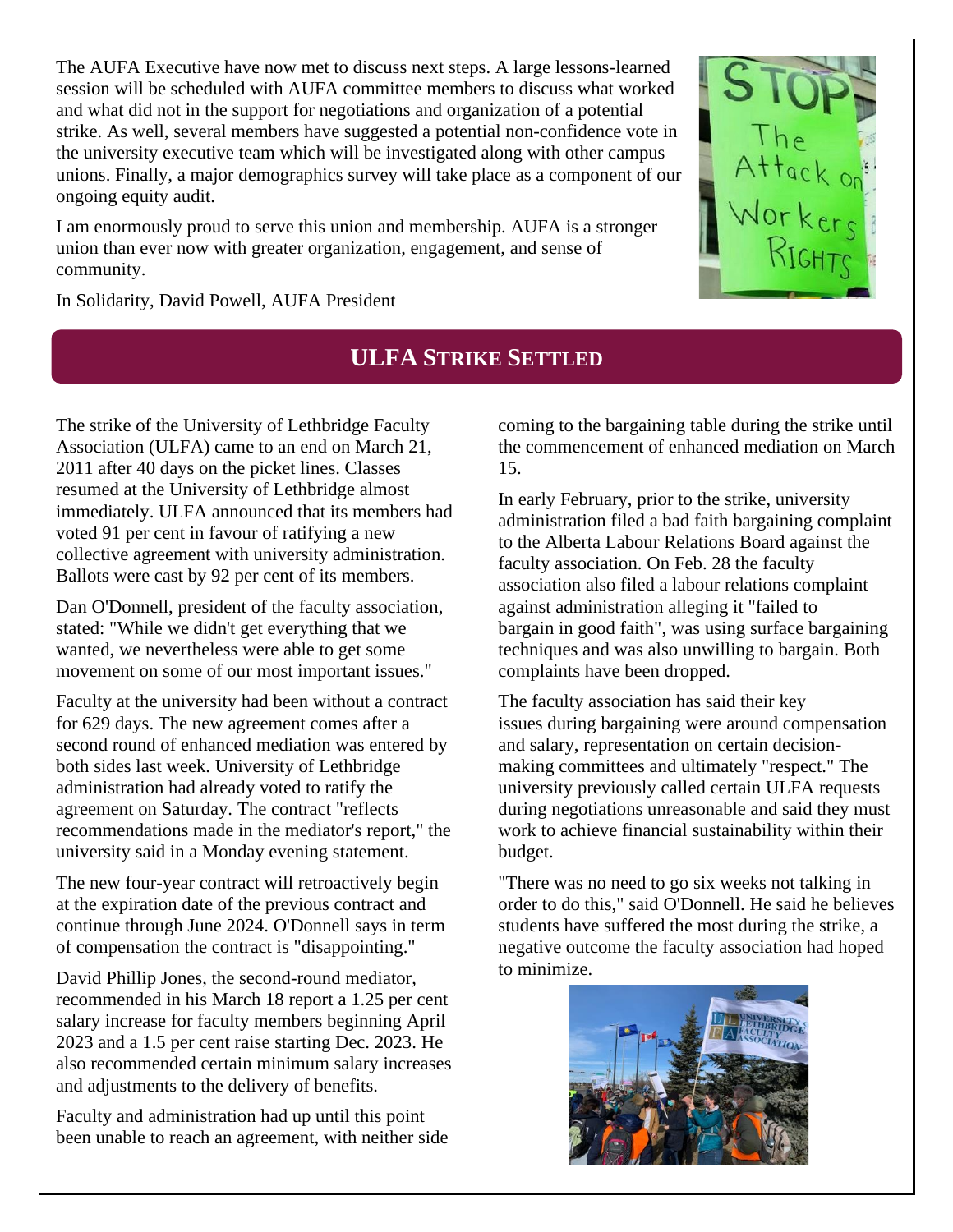<span id="page-4-0"></span>The AUFA Executive have now met to discuss next steps. A large lessons-learned session will be scheduled with AUFA committee members to discuss what worked and what did not in the support for negotiations and organization of a potential strike. As well, several members have suggested a potential non-confidence vote in the university executive team which will be investigated along with other campus unions. Finally, a major demographics survey will take place as a component of our ongoing equity audit.

I am enormously proud to serve this union and membership. AUFA is a stronger union than ever now with greater organization, engagement, and sense of community.

In Solidarity, David Powell, AUFA President

## **ULFA STRIKE SETTLED**

The strike of the University of Lethbridge Faculty Association (ULFA) came to an end on March 21, 2011 after 40 days on the picket lines. Classes resumed at the University of Lethbridge almost immediately. ULFA announced that its members had voted 91 per cent in favour of ratifying a new collective agreement with university administration. Ballots were cast by 92 per cent of its members.

Dan O'Donnell, president of the faculty association, stated: "While we didn't get everything that we wanted, we nevertheless were able to get some movement on some of our most important issues."

Faculty at the university had been without a contract for 629 days. The new agreement comes after a second round of enhanced mediation was entered by both sides last week. University of Lethbridge administration had already voted to ratify the agreement on Saturday. The contract "reflects recommendations made in the mediator's report," the university said in a Monday evening statement.

The new four-year contract will retroactively begin at the expiration date of the previous contract and continue through June 2024. O'Donnell says in term of compensation the contract is "disappointing."

David Phillip Jones, the second-round mediator, recommended in his March 18 report a 1.25 per cent salary increase for faculty members beginning April 2023 and a 1.5 per cent raise starting Dec. 2023. He also recommended certain minimum salary increases and adjustments to the delivery of benefits.

Faculty and administration had up until this point been unable to reach an agreement, with neither side coming to the bargaining table during the strike until the commencement of enhanced mediation on March 15.

In early February, prior to the strike, university administration filed a bad faith bargaining complaint to the Alberta Labour Relations Board against the faculty association. On Feb. 28 the faculty association also filed a labour relations complaint against administration alleging it "failed to bargain in good faith", was using surface bargaining techniques and was also unwilling to bargain. Both complaints have been dropped.

The faculty association has said their key issues during bargaining were around compensation and salary, representation on certain decisionmaking committees and ultimately "respect." The university previously called certain ULFA requests during negotiations unreasonable and said they must work to achieve financial sustainability within their budget.

"There was no need to go six weeks not talking in order to do this," said O'Donnell. He said he believes students have suffered the most during the strike, a negative outcome the faculty association had hoped to minimize.



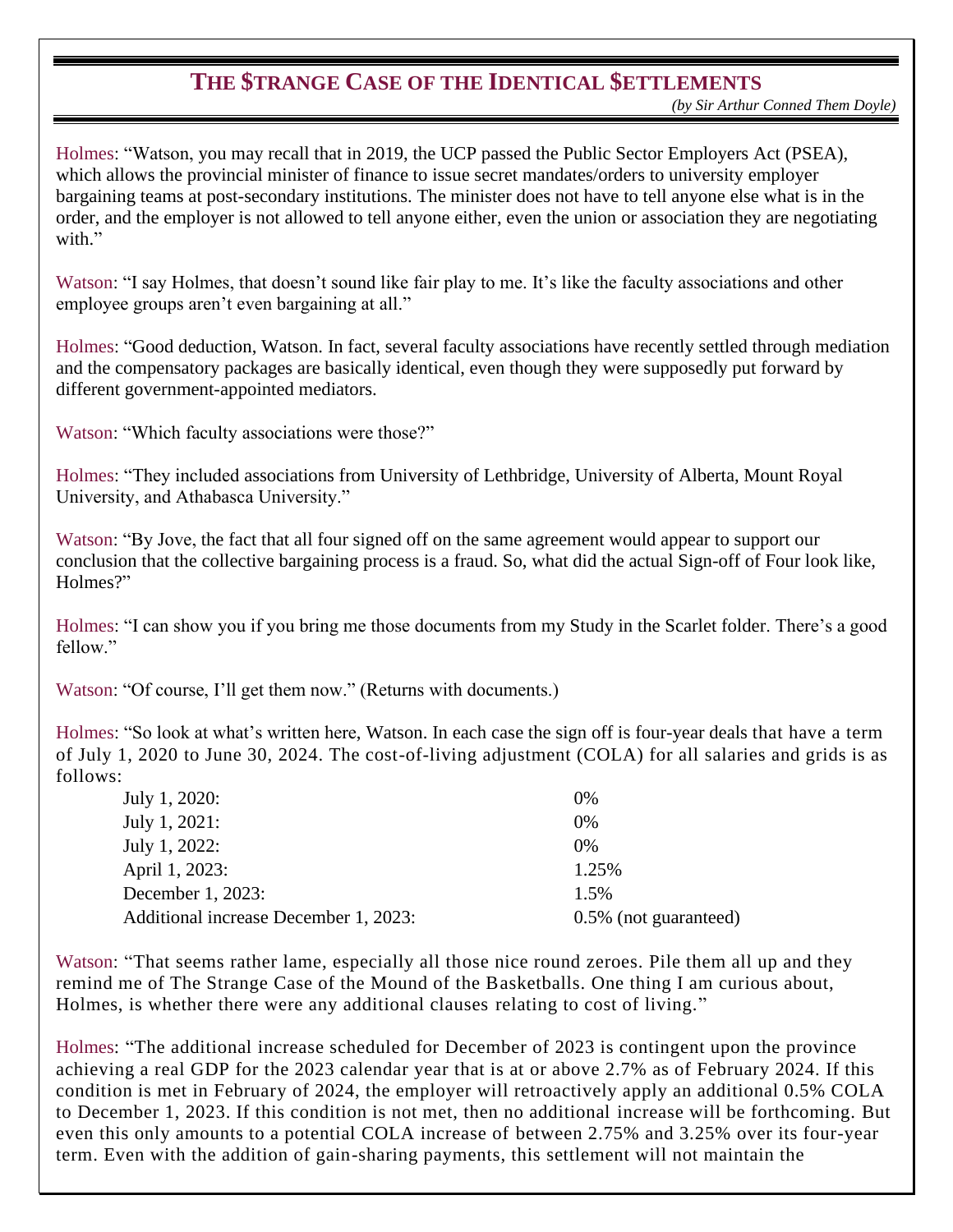#### **THE \$TRANGE CASE OF THE IDENTICAL \$ETTLEMENTS**

<span id="page-5-0"></span>Holmes: "Watson, you may recall that in 2019, the UCP passed the Public Sector Employers Act (PSEA), which allows the provincial minister of finance to issue secret mandates/orders to university employer bargaining teams at post-secondary institutions. The minister does not have to tell anyone else what is in the order, and the employer is not allowed to tell anyone either, even the union or association they are negotiating with."

Watson: "I say Holmes, that doesn't sound like fair play to me. It's like the faculty associations and other employee groups aren't even bargaining at all."

Holmes: "Good deduction, Watson. In fact, several faculty associations have recently settled through mediation and the compensatory packages are basically identical, even though they were supposedly put forward by different government-appointed mediators.

Watson: "Which faculty associations were those?"

Holmes: "They included associations from University of Lethbridge, University of Alberta, Mount Royal University, and Athabasca University."

Watson: "By Jove, the fact that all four signed off on the same agreement would appear to support our conclusion that the collective bargaining process is a fraud. So, what did the actual Sign-off of Four look like, Holmes?"

Holmes: "I can show you if you bring me those documents from my Study in the Scarlet folder. There's a good fellow."

Watson: "Of course, I'll get them now." (Returns with documents.)

Holmes: "So look at what's written here, Watson. In each case the sign off is four-year deals that have a term of July 1, 2020 to June 30, 2024. The cost-of-living adjustment (COLA) for all salaries and grids is as follows:

| $0\%$                 |
|-----------------------|
| $0\%$                 |
| 0%                    |
| 1.25%                 |
| 1.5%                  |
| 0.5% (not guaranteed) |
|                       |

Watson: "That seems rather lame, especially all those nice round zeroes. Pile them all up and they remind me of The Strange Case of the Mound of the Basketballs. One thing I am curious about, Holmes, is whether there were any additional clauses relating to cost of living."

Holmes: "The additional increase scheduled for December of 2023 is contingent upon the province achieving a real GDP for the 2023 calendar year that is at or above 2.7% as of February 2024. If this condition is met in February of 2024, the employer will retroactively apply an additional 0.5% COLA to December 1, 2023. If this condition is not met, then no additional increase will be forthcoming. But even this only amounts to a potential COLA increase of between 2.75% and 3.25% over its four-year term. Even with the addition of gain-sharing payments, this settlement will not maintain the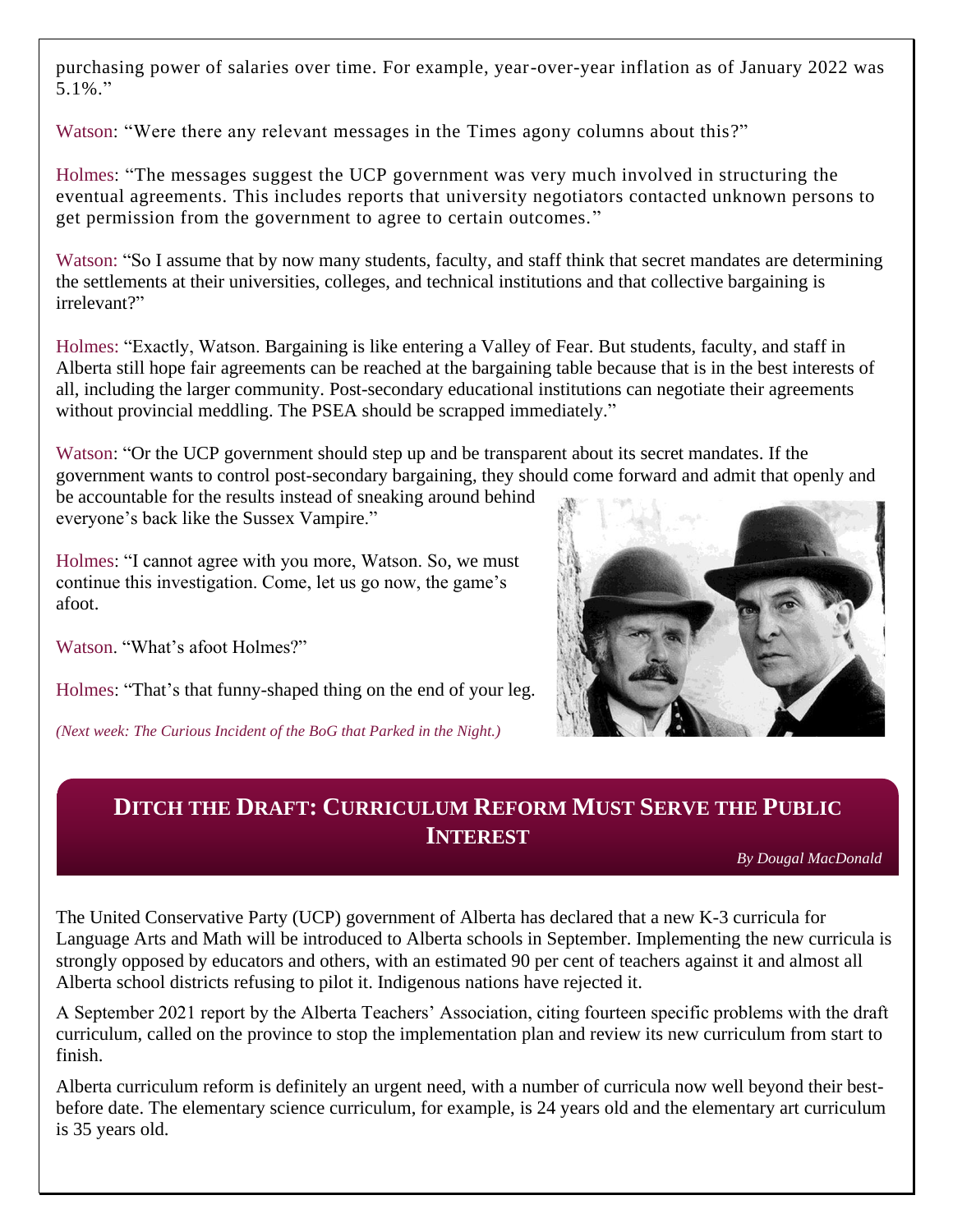<span id="page-6-0"></span>purchasing power of salaries over time. For example, year-over-year inflation as of January 2022 was 5.1%."

Watson: "Were there any relevant messages in the Times agony columns about this?"

Holmes: "The messages suggest the UCP government was very much involved in structuring the eventual agreements. This includes reports that university negotiators contacted unknown persons to get permission from the government to agree to certain outcomes."

Watson: "So I assume that by now many students, faculty, and staff think that secret mandates are determining the settlements at their universities, colleges, and technical institutions and that collective bargaining is irrelevant?"

Holmes: "Exactly, Watson. Bargaining is like entering a Valley of Fear. But students, faculty, and staff in Alberta still hope fair agreements can be reached at the bargaining table because that is in the best interests of all, including the larger community. Post-secondary educational institutions can negotiate their agreements without provincial meddling. The PSEA should be scrapped immediately."

Watson: "Or the UCP government should step up and be transparent about its secret mandates. If the government wants to control post-secondary bargaining, they should come forward and admit that openly and be accountable for the results instead of sneaking around behind

everyone's back like the Sussex Vampire."

Holmes: "I cannot agree with you more, Watson. So, we must continue this investigation. Come, let us go now, the game's afoot.

Watson. "What's afoot Holmes?"

Holmes: "That's that funny-shaped thing on the end of your leg.

*(Next week: The Curious Incident of the BoG that Parked in the Night.)*



#### **DITCH THE DRAFT: CURRICULUM REFORM MUST SERVE THE PUBLIC INTEREST**

*By Dougal MacDonald*

The United Conservative Party (UCP) government of Alberta has declared that a new K-3 curricula for Language Arts and Math will be introduced to Alberta schools in September. Implementing the new curricula is strongly opposed by educators and others, with an estimated 90 per cent of teachers against it and almost all Alberta school districts refusing to pilot it. Indigenous nations have rejected it.

A September 2021 report by the Alberta Teachers' Association, citing fourteen specific problems with the draft curriculum, called on the province to stop the implementation plan and review its new curriculum from start to finish.

Alberta curriculum reform is definitely an urgent need, with a number of curricula now well beyond their bestbefore date. The elementary science curriculum, for example, is 24 years old and the elementary art curriculum is 35 years old.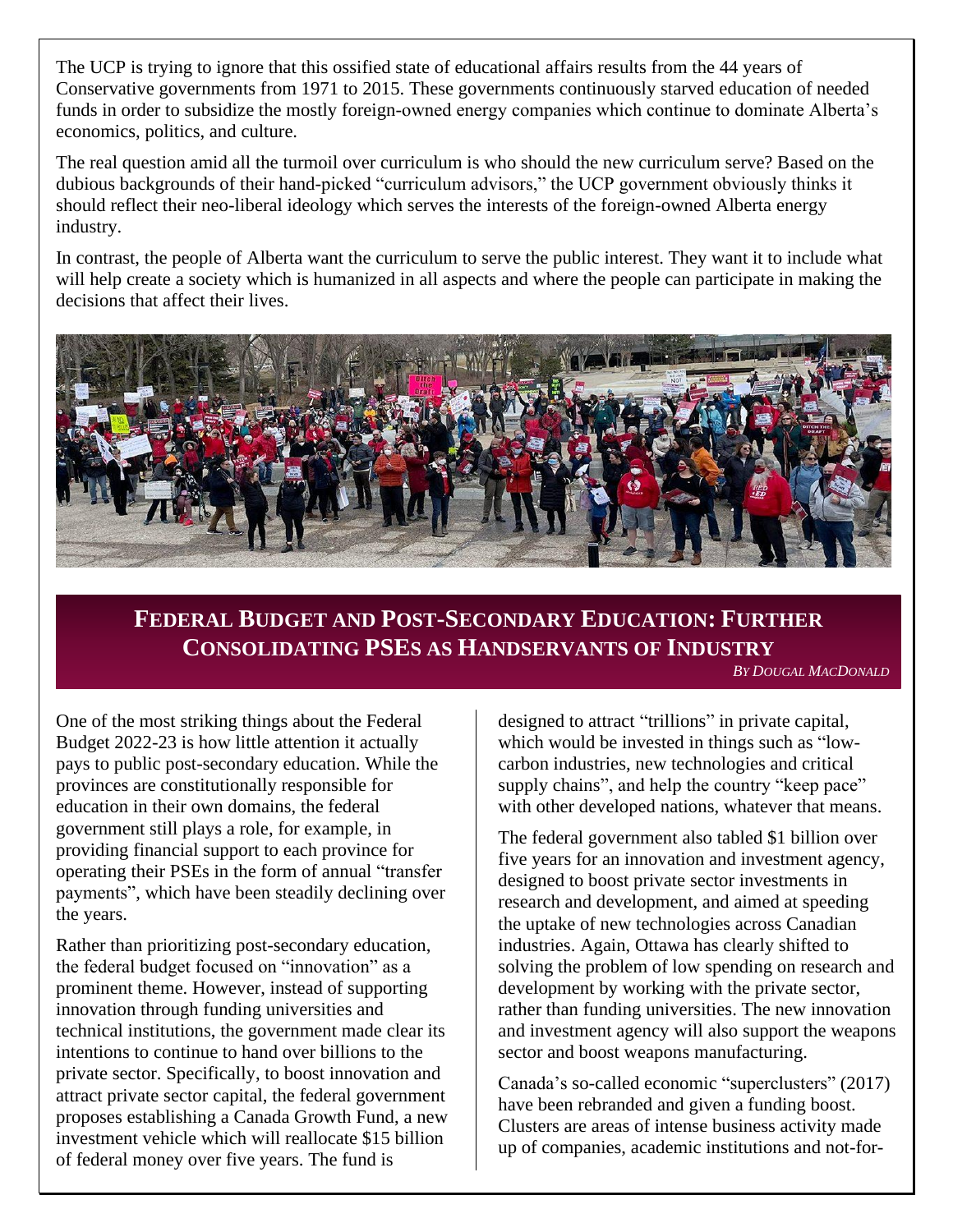<span id="page-7-0"></span>The UCP is trying to ignore that this ossified state of educational affairs results from the 44 years of Conservative governments from 1971 to 2015. These governments continuously starved education of needed funds in order to subsidize the mostly foreign-owned energy companies which continue to dominate Alberta's economics, politics, and culture.

The real question amid all the turmoil over curriculum is who should the new curriculum serve? Based on the dubious backgrounds of their hand-picked "curriculum advisors," the UCP government obviously thinks it should reflect their neo-liberal ideology which serves the interests of the foreign-owned Alberta energy industry.

In contrast, the people of Alberta want the curriculum to serve the public interest. They want it to include what will help create a society which is humanized in all aspects and where the people can participate in making the decisions that affect their lives.



### **FEDERAL BUDGET AND POST-SECONDARY EDUCATION: FURTHER CONSOLIDATING PSES AS HANDSERVANTS OF INDUSTRY**

*BY DOUGAL MACDONALD*

One of the most striking things about the Federal Budget 2022-23 is how little attention it actually pays to public post-secondary education. While the provinces are constitutionally responsible for education in their own domains, the federal government still plays a role, for example, in providing financial support to each province for operating their PSEs in the form of annual "transfer payments", which have been steadily declining over the years.

Rather than prioritizing post-secondary education, the federal budget focused on "innovation" as a prominent theme. However, instead of supporting innovation through funding universities and technical institutions, the government made clear its intentions to continue to hand over billions to the private sector. Specifically, to boost innovation and attract private sector capital, the federal government proposes establishing a Canada Growth Fund, a new investment vehicle which will reallocate \$15 billion of federal money over five years. The fund is

designed to attract "trillions" in private capital, which would be invested in things such as "lowcarbon industries, new technologies and critical supply chains", and help the country "keep pace" with other developed nations, whatever that means.

The federal government also tabled \$1 billion over five years for an innovation and investment agency, designed to boost private sector investments in research and development, and aimed at speeding the uptake of new technologies across Canadian industries. Again, Ottawa has clearly shifted to solving the problem of low spending on research and development by working with the private sector, rather than funding universities. The new innovation and investment agency will also support the weapons sector and boost weapons manufacturing.

Canada's so-called economic "superclusters" (2017) have been rebranded and given a funding boost. Clusters are areas of intense business activity made up of companies, academic institutions and not-for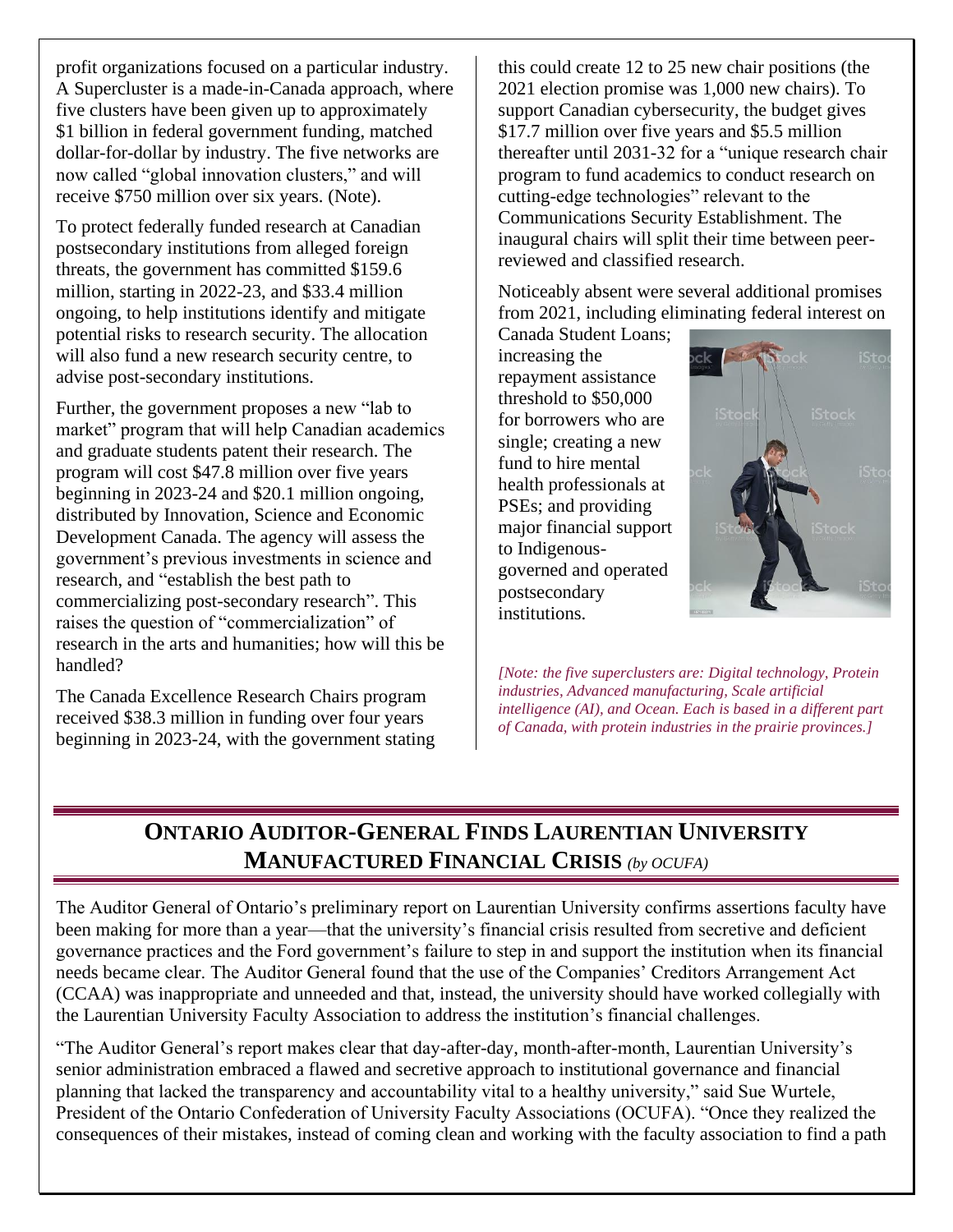<span id="page-8-0"></span>profit organizations focused on a particular industry. A Supercluster is a made-in-Canada approach, where five clusters have been given up to approximately \$1 billion in federal government funding, matched dollar-for-dollar by industry. The five networks are now called "global innovation clusters," and will receive \$750 million over six years. (Note).

To protect federally funded research at Canadian postsecondary institutions from alleged foreign threats, the government has committed \$159.6 million, starting in 2022-23, and \$33.4 million ongoing, to help institutions identify and mitigate potential risks to research security. The allocation will also fund a new research security centre, to advise post-secondary institutions.

Further, the government proposes a new "lab to market" program that will help Canadian academics and graduate students patent their research. The program will cost \$47.8 million over five years beginning in 2023-24 and \$20.1 million ongoing, distributed by Innovation, Science and Economic Development Canada. The agency will assess the government's previous investments in science and research, and "establish the best path to commercializing post-secondary research". This raises the question of "commercialization" of research in the arts and humanities; how will this be handled?

The Canada Excellence Research Chairs program received \$38.3 million in funding over four years beginning in 2023-24, with the government stating

this could create 12 to 25 new chair positions (the 2021 election promise was 1,000 new chairs). To support Canadian cybersecurity, the budget gives \$17.7 million over five years and \$5.5 million thereafter until 2031-32 for a "unique research chair program to fund academics to conduct research on cutting-edge technologies" relevant to the Communications Security Establishment. The inaugural chairs will split their time between peerreviewed and classified research.

Noticeably absent were several additional promises from 2021, including eliminating federal interest on

Canada Student Loans; increasing the repayment assistance threshold to \$50,000 for borrowers who are single; creating a new fund to hire mental health professionals at PSEs; and providing major financial support to Indigenousgoverned and operated postsecondary institutions.



*[Note: the five superclusters are: Digital technology, Protein industries, Advanced manufacturing, Scale artificial intelligence (AI), and Ocean. Each is based in a different part of Canada, with protein industries in the prairie provinces.]*

### **ONTARIO AUDITOR-GENERAL FINDS LAURENTIAN UNIVERSITY MANUFACTURED FINANCIAL CRISIS** *(by OCUFA)*

The Auditor General of Ontario's preliminary report on Laurentian University confirms assertions faculty have been making for more than a year—that the university's financial crisis resulted from secretive and deficient governance practices and the Ford government's failure to step in and support the institution when its financial needs became clear. The Auditor General found that the use of the Companies' Creditors Arrangement Act (CCAA) was inappropriate and unneeded and that, instead, the university should have worked collegially with the Laurentian University Faculty Association to address the institution's financial challenges.

"The Auditor General's report makes clear that day-after-day, month-after-month, Laurentian University's senior administration embraced a flawed and secretive approach to institutional governance and financial planning that lacked the transparency and accountability vital to a healthy university," said Sue Wurtele, President of the Ontario Confederation of University Faculty Associations (OCUFA). "Once they realized the consequences of their mistakes, instead of coming clean and working with the faculty association to find a path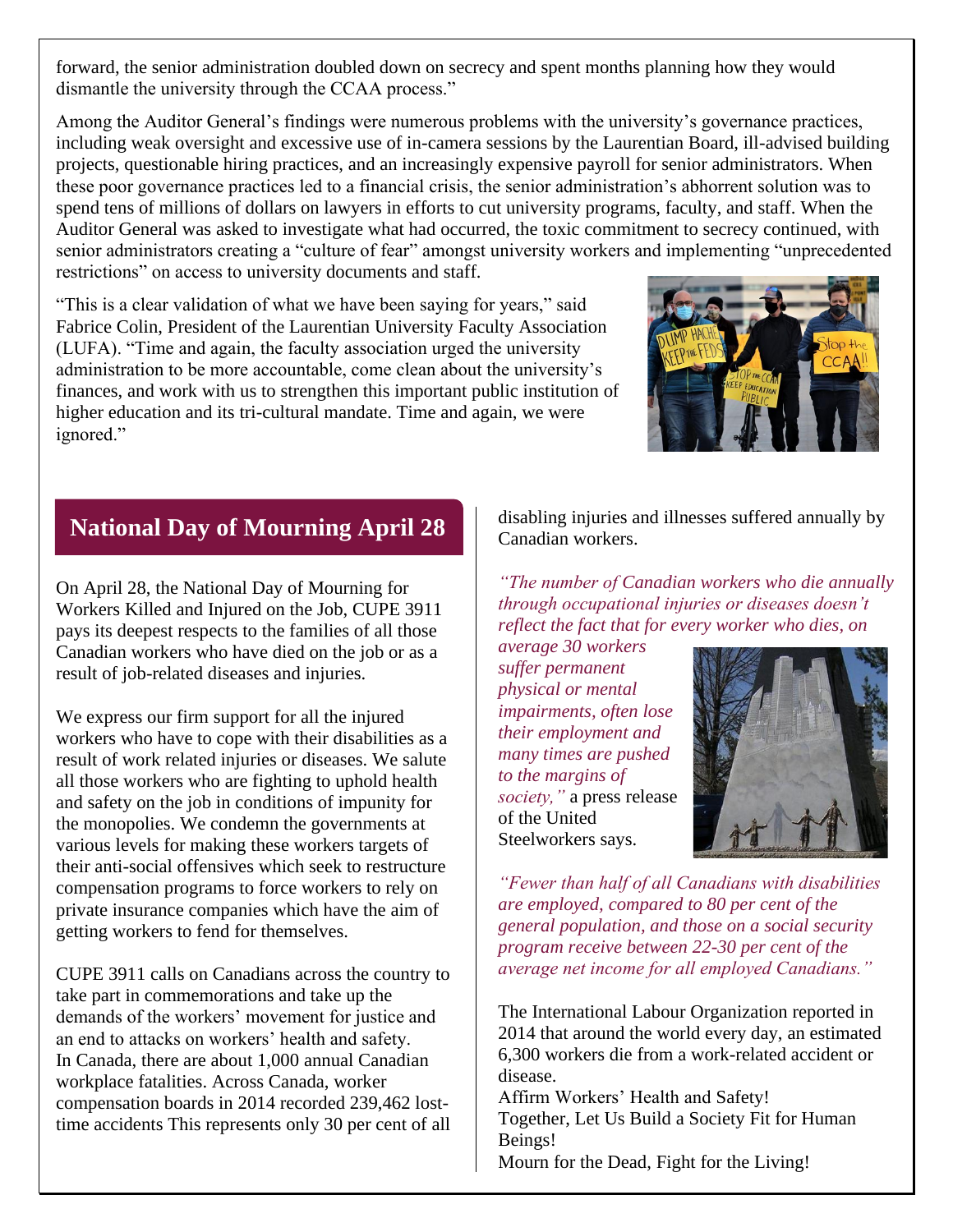<span id="page-9-0"></span>forward, the senior administration doubled down on secrecy and spent months planning how they would dismantle the university through the CCAA process."

Among the Auditor General's findings were numerous problems with the university's governance practices, including weak oversight and excessive use of in-camera sessions by the Laurentian Board, ill-advised building projects, questionable hiring practices, and an increasingly expensive payroll for senior administrators. When these poor governance practices led to a financial crisis, the senior administration's abhorrent solution was to spend tens of millions of dollars on lawyers in efforts to cut university programs, faculty, and staff. When the Auditor General was asked to investigate what had occurred, the toxic commitment to secrecy continued, with senior administrators creating a "culture of fear" amongst university workers and implementing "unprecedented restrictions" on access to university documents and staff.

"This is a clear validation of what we have been saying for years," said Fabrice Colin, President of the Laurentian University Faculty Association (LUFA). "Time and again, the faculty association urged the university administration to be more accountable, come clean about the university's finances, and work with us to strengthen this important public institution of higher education and its tri-cultural mandate. Time and again, we were ignored."



#### **National Day of Mourning April 28**

On April 28, the National Day of Mourning for Workers Killed and Injured on the Job, CUPE 3911 pays its deepest respects to the families of all those Canadian workers who have died on the job or as a result of job-related diseases and injuries.

We express our firm support for all the injured workers who have to cope with their disabilities as a result of work related injuries or diseases. We salute all those workers who are fighting to uphold health and safety on the job in conditions of impunity for the monopolies. We condemn the governments at various levels for making these workers targets of their anti-social offensives which seek to restructure compensation programs to force workers to rely on private insurance companies which have the aim of getting workers to fend for themselves.

CUPE 3911 calls on Canadians across the country to take part in commemorations and take up the demands of the workers' movement for justice and an end to attacks on workers' health and safety. In Canada, there are about 1,000 annual Canadian workplace fatalities. Across Canada, worker compensation boards in 2014 recorded 239,462 losttime accidents This represents only 30 per cent of all disabling injuries and illnesses suffered annually by Canadian workers.

*"The number of Canadian workers who die annually through occupational injuries or diseases doesn't reflect the fact that for every worker who dies, on* 

*average 30 workers suffer permanent physical or mental impairments, often lose their employment and many times are pushed to the margins of society,"* a press release of the United Steelworkers says.



*"Fewer than half of all Canadians with disabilities are employed, compared to 80 per cent of the general population, and those on a social security program receive between 22-30 per cent of the average net income for all employed Canadians."*

The International Labour Organization reported in 2014 that around the world every day, an estimated 6,300 workers die from a work-related accident or disease.

Affirm Workers' Health and Safety! Together, Let Us Build a Society Fit for Human Beings!

Mourn for the Dead, Fight for the Living!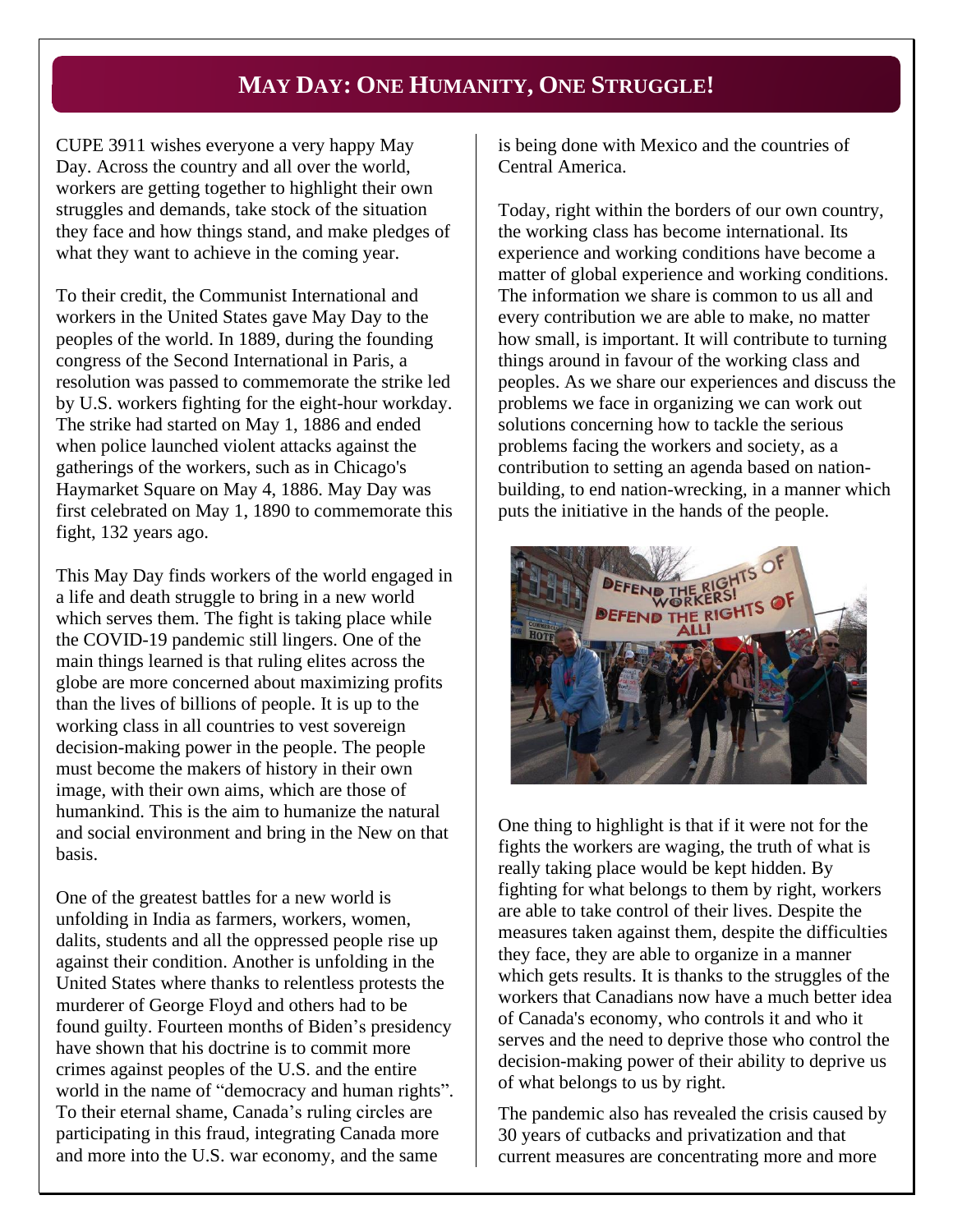#### **MAY DAY: ONE HUMANITY, ONE STRUGGLE!**

<span id="page-10-0"></span>CUPE 3911 wishes everyone a very happy May Day. Across the country and all over the world, workers are getting together to highlight their own struggles and demands, take stock of the situation they face and how things stand, and make pledges of what they want to achieve in the coming year.

To their credit, the Communist International and workers in the United States gave May Day to the peoples of the world. In 1889, during the founding congress of the Second International in Paris, a resolution was passed to commemorate the strike led by U.S. workers fighting for the eight-hour workday. The strike had started on May 1, 1886 and ended when police launched violent attacks against the gatherings of the workers, such as in Chicago's Haymarket Square on May 4, 1886. May Day was first celebrated on May 1, 1890 to commemorate this fight, 132 years ago.

This May Day finds workers of the world engaged in a life and death struggle to bring in a new world which serves them. The fight is taking place while the COVID-19 pandemic still lingers. One of the main things learned is that ruling elites across the globe are more concerned about maximizing profits than the lives of billions of people. It is up to the working class in all countries to vest sovereign decision-making power in the people. The people must become the makers of history in their own image, with their own aims, which are those of humankind. This is the aim to humanize the natural and social environment and bring in the New on that basis.

One of the greatest battles for a new world is unfolding in India as farmers, workers, women, dalits, students and all the oppressed people rise up against their condition. Another is unfolding in the United States where thanks to relentless protests the murderer of George Floyd and others had to be found guilty. Fourteen months of Biden's presidency have shown that his doctrine is to commit more crimes against peoples of the U.S. and the entire world in the name of "democracy and human rights". To their eternal shame, Canada's ruling circles are participating in this fraud, integrating Canada more and more into the U.S. war economy, and the same

is being done with Mexico and the countries of Central America.

Today, right within the borders of our own country, the working class has become international. Its experience and working conditions have become a matter of global experience and working conditions. The information we share is common to us all and every contribution we are able to make, no matter how small, is important. It will contribute to turning things around in favour of the working class and peoples. As we share our experiences and discuss the problems we face in organizing we can work out solutions concerning how to tackle the serious problems facing the workers and society, as a contribution to setting an agenda based on nationbuilding, to end nation-wrecking, in a manner which puts the initiative in the hands of the people.



One thing to highlight is that if it were not for the fights the workers are waging, the truth of what is really taking place would be kept hidden. By fighting for what belongs to them by right, workers are able to take control of their lives. Despite the measures taken against them, despite the difficulties they face, they are able to organize in a manner which gets results. It is thanks to the struggles of the workers that Canadians now have a much better idea of Canada's economy, who controls it and who it serves and the need to deprive those who control the decision-making power of their ability to deprive us of what belongs to us by right.

The pandemic also has revealed the crisis caused by 30 years of cutbacks and privatization and that current measures are concentrating more and more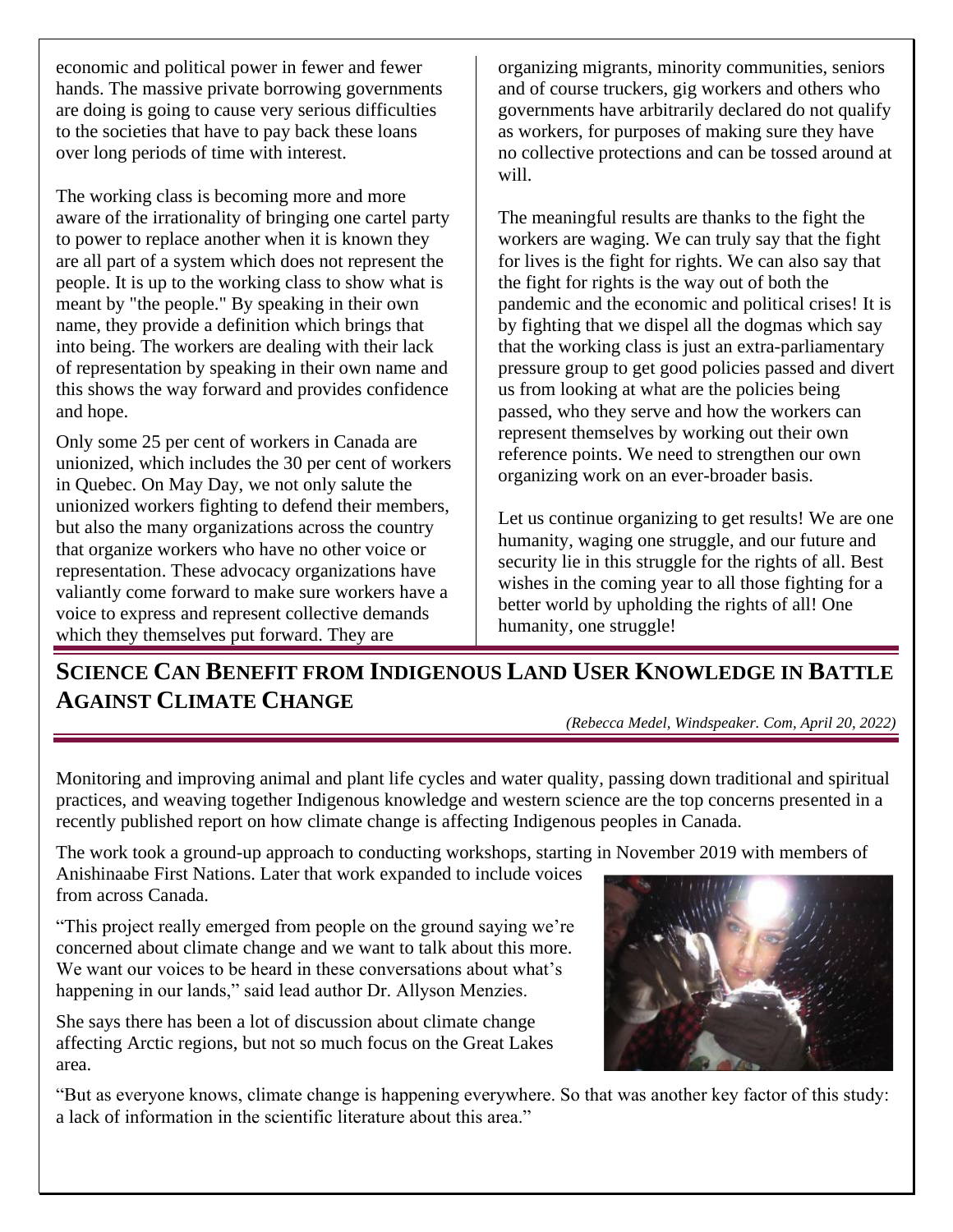<span id="page-11-0"></span>economic and political power in fewer and fewer hands. The massive private borrowing governments are doing is going to cause very serious difficulties to the societies that have to pay back these loans over long periods of time with interest.

The working class is becoming more and more aware of the irrationality of bringing one cartel party to power to replace another when it is known they are all part of a system which does not represent the people. It is up to the working class to show what is meant by "the people." By speaking in their own name, they provide a definition which brings that into being. The workers are dealing with their lack of representation by speaking in their own name and this shows the way forward and provides confidence and hope.

Only some 25 per cent of workers in Canada are unionized, which includes the 30 per cent of workers in Quebec. On May Day, we not only salute the unionized workers fighting to defend their members, but also the many organizations across the country that organize workers who have no other voice or representation. These advocacy organizations have valiantly come forward to make sure workers have a voice to express and represent collective demands which they themselves put forward. They are

organizing migrants, minority communities, seniors and of course truckers, gig workers and others who governments have arbitrarily declared do not qualify as workers, for purposes of making sure they have no collective protections and can be tossed around at will.

The meaningful results are thanks to the fight the workers are waging. We can truly say that the fight for lives is the fight for rights. We can also say that the fight for rights is the way out of both the pandemic and the economic and political crises! It is by fighting that we dispel all the dogmas which say that the working class is just an extra-parliamentary pressure group to get good policies passed and divert us from looking at what are the policies being passed, who they serve and how the workers can represent themselves by working out their own reference points. We need to strengthen our own organizing work on an ever-broader basis.

Let us continue organizing to get results! We are one humanity, waging one struggle, and our future and security lie in this struggle for the rights of all. Best wishes in the coming year to all those fighting for a better world by upholding the rights of all! One humanity, one struggle!

**SCIENCE CAN BENEFIT FROM INDIGENOUS LAND USER KNOWLEDGE IN BATTLE AGAINST CLIMATE CHANGE**

*(Rebecca Medel, Windspeaker. Com, April 20, 2022)*

Monitoring and improving animal and plant life cycles and water quality, passing down traditional and spiritual practices, and weaving together Indigenous knowledge and western science are the top concerns presented in a recently published report on how climate change is affecting Indigenous peoples in Canada.

The work took a ground-up approach to conducting workshops, starting in November 2019 with members of

Anishinaabe First Nations. Later that work expanded to include voices from across Canada.

"This project really emerged from people on the ground saying we're concerned about climate change and we want to talk about this more. We want our voices to be heard in these conversations about what's happening in our lands," said lead author Dr. Allyson Menzies.

She says there has been a lot of discussion about climate change affecting Arctic regions, but not so much focus on the Great Lakes area.

"But as everyone knows, climate change is happening everywhere. So that was another key factor of this study: a lack of information in the scientific literature about this area."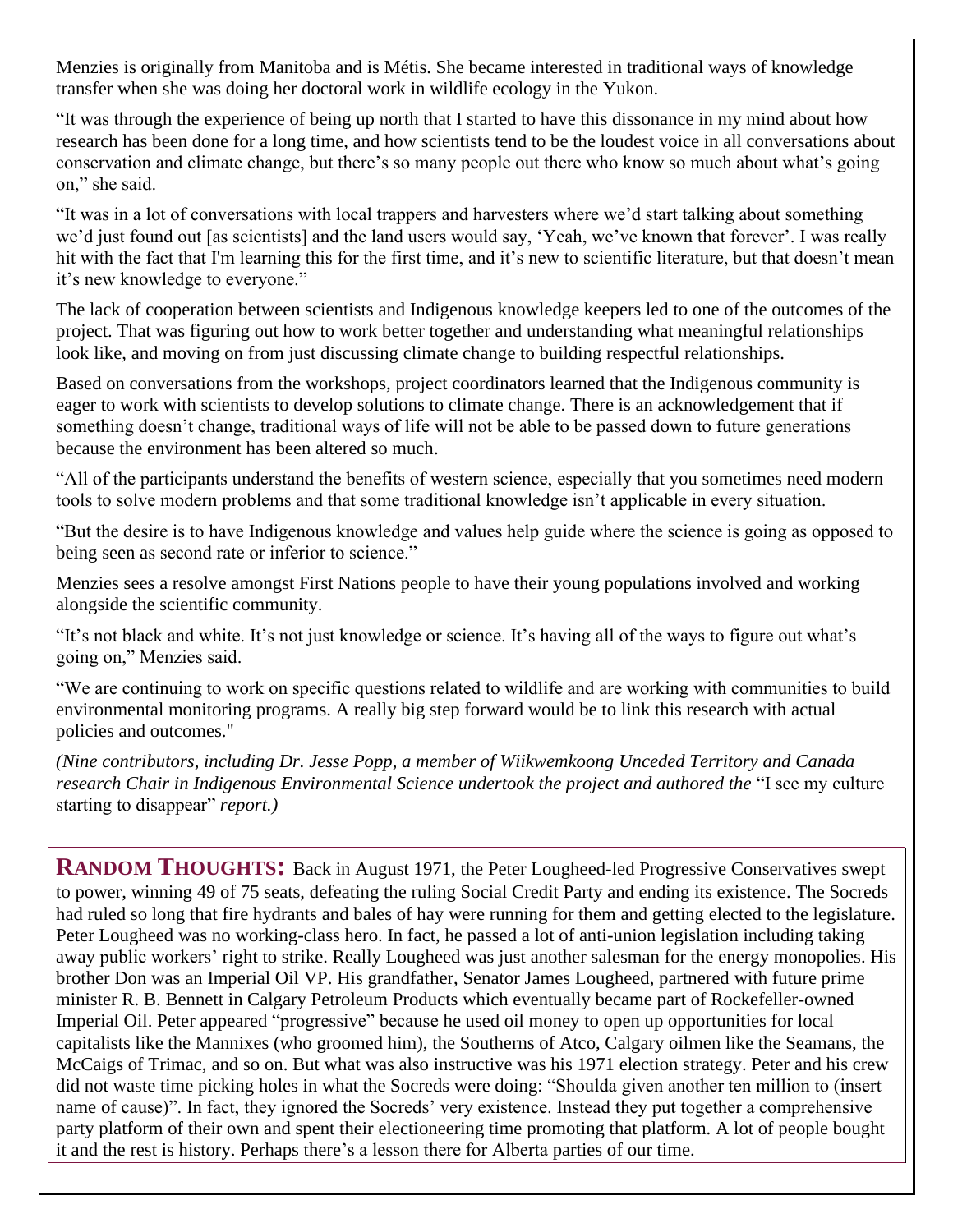Menzies is originally from Manitoba and is Métis. She became interested in traditional ways of knowledge transfer when she was doing her doctoral work in wildlife ecology in the Yukon.

"It was through the experience of being up north that I started to have this dissonance in my mind about how research has been done for a long time, and how scientists tend to be the loudest voice in all conversations about conservation and climate change, but there's so many people out there who know so much about what's going on," she said.

"It was in a lot of conversations with local trappers and harvesters where we'd start talking about something we'd just found out [as scientists] and the land users would say, 'Yeah, we've known that forever'. I was really hit with the fact that I'm learning this for the first time, and it's new to scientific literature, but that doesn't mean it's new knowledge to everyone."

The lack of cooperation between scientists and Indigenous knowledge keepers led to one of the outcomes of the project. That was figuring out how to work better together and understanding what meaningful relationships look like, and moving on from just discussing climate change to building respectful relationships.

Based on conversations from the workshops, project coordinators learned that the Indigenous community is eager to work with scientists to develop solutions to climate change. There is an acknowledgement that if something doesn't change, traditional ways of life will not be able to be passed down to future generations because the environment has been altered so much.

"All of the participants understand the benefits of western science, especially that you sometimes need modern tools to solve modern problems and that some traditional knowledge isn't applicable in every situation.

"But the desire is to have Indigenous knowledge and values help guide where the science is going as opposed to being seen as second rate or inferior to science."

Menzies sees a resolve amongst First Nations people to have their young populations involved and working alongside the scientific community.

"It's not black and white. It's not just knowledge or science. It's having all of the ways to figure out what's going on," Menzies said.

"We are continuing to work on specific questions related to wildlife and are working with communities to build environmental monitoring programs. A really big step forward would be to link this research with actual policies and outcomes."

*(Nine contributors, including Dr. Jesse Popp, a member of Wiikwemkoong Unceded Territory and Canada research Chair in Indigenous Environmental Science undertook the project and authored the* "I see my culture starting to disappear" *report.)*

**RANDOM THOUGHTS:** Back in August 1971, the Peter Lougheed-led Progressive Conservatives swept to power, winning 49 of 75 seats, defeating the ruling Social Credit Party and ending its existence. The Socreds had ruled so long that fire hydrants and bales of hay were running for them and getting elected to the legislature. Peter Lougheed was no working-class hero. In fact, he passed a lot of anti-union legislation including taking away public workers' right to strike. Really Lougheed was just another salesman for the energy monopolies. His brother Don was an Imperial Oil VP. His grandfather, Senator James Lougheed, partnered with future prime minister R. B. Bennett in Calgary Petroleum Products which eventually became part of Rockefeller-owned Imperial Oil. Peter appeared "progressive" because he used oil money to open up opportunities for local capitalists like the Mannixes (who groomed him), the Southerns of Atco, Calgary oilmen like the Seamans, the McCaigs of Trimac, and so on. But what was also instructive was his 1971 election strategy. Peter and his crew did not waste time picking holes in what the Socreds were doing: "Shoulda given another ten million to (insert name of cause)". In fact, they ignored the Socreds' very existence. Instead they put together a comprehensive party platform of their own and spent their electioneering time promoting that platform. A lot of people bought it and the rest is history. Perhaps there's a lesson there for Alberta parties of our time.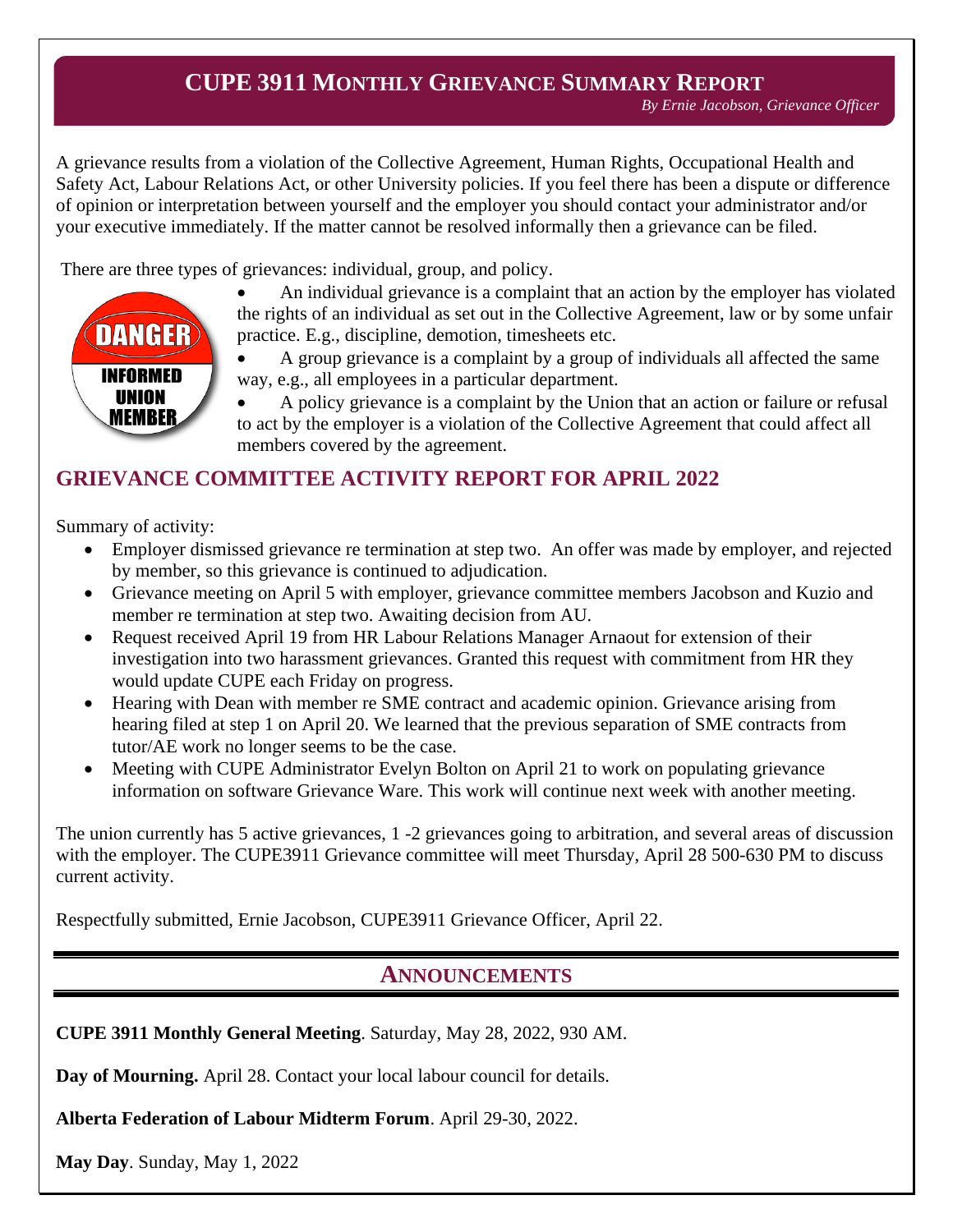#### **CUPE 3911 MONTHLY GRIEVANCE SUMMARY REPORT**

*By Ernie Jacobson, Grievance Officer*

<span id="page-13-0"></span>A grievance results from a violation of the Collective Agreement, Human Rights, Occupational Health and Safety Act, Labour Relations Act, or other University policies. If you feel there has been a dispute or difference of opinion or interpretation between yourself and the employer you should contact your administrator and/or your executive immediately. If the matter cannot be resolved informally then a grievance can be filed.

There are three types of grievances: individual, group, and policy.



• An individual grievance is a complaint that an action by the employer has violated the rights of an individual as set out in the Collective Agreement, law or by some unfair practice. E.g., discipline, demotion, timesheets etc.

• A group grievance is a complaint by a group of individuals all affected the same way, e.g., all employees in a particular department.

• A policy grievance is a complaint by the Union that an action or failure or refusal to act by the employer is a violation of the Collective Agreement that could affect all members covered by the agreement.

#### **GRIEVANCE COMMITTEE ACTIVITY REPORT FOR APRIL 2022**

Summary of activity:

- Employer dismissed grievance re termination at step two. An offer was made by employer, and rejected by member, so this grievance is continued to adjudication.
- Grievance meeting on April 5 with employer, grievance committee members Jacobson and Kuzio and member re termination at step two. Awaiting decision from AU.
- Request received April 19 from HR Labour Relations Manager Arnaout for extension of their investigation into two harassment grievances. Granted this request with commitment from HR they would update CUPE each Friday on progress.
- Hearing with Dean with member re SME contract and academic opinion. Grievance arising from hearing filed at step 1 on April 20. We learned that the previous separation of SME contracts from tutor/AE work no longer seems to be the case.
- Meeting with CUPE Administrator Evelyn Bolton on April 21 to work on populating grievance information on software Grievance Ware. This work will continue next week with another meeting.

The union currently has 5 active grievances, 1 -2 grievances going to arbitration, and several areas of discussion with the employer. The CUPE3911 Grievance committee will meet Thursday, April 28 500-630 PM to discuss current activity.

Respectfully submitted, Ernie Jacobson, CUPE3911 Grievance Officer, April 22.

#### **ANNOUNCEMENTS**

**CUPE 3911 Monthly General Meeting**. Saturday, May 28, 2022, 930 AM.

**Day of Mourning.** April 28. Contact your local labour council for details.

**Alberta Federation of Labour Midterm Forum**. April 29-30, 2022.

**May Day**. Sunday, May 1, 2022